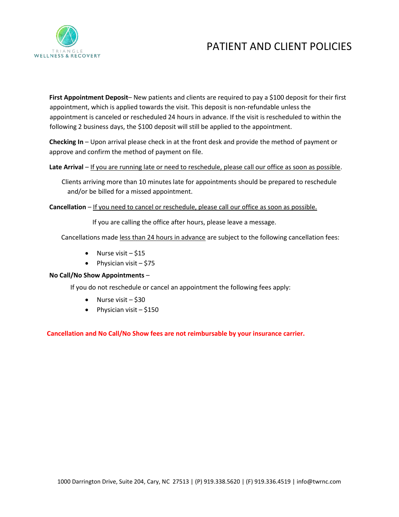

# PATIENT AND CLIENT POLICIES

**First Appointment Deposit**– New patients and clients are required to pay a \$100 deposit for their first appointment, which is applied towards the visit. This deposit is non-refundable unless the appointment is canceled or rescheduled 24 hours in advance. If the visit is rescheduled to within the following 2 business days, the \$100 deposit will still be applied to the appointment.

**Checking In** – Upon arrival please check in at the front desk and provide the method of payment or approve and confirm the method of payment on file.

### Late Arrival – If you are running late or need to reschedule, please call our office as soon as possible.

Clients arriving more than 10 minutes late for appointments should be prepared to reschedule and/or be billed for a missed appointment.

**Cancellation** – If you need to cancel or reschedule, please call our office as soon as possible.

If you are calling the office after hours, please leave a message.

Cancellations made less than 24 hours in advance are subject to the following cancellation fees:

- Nurse visit \$15
- Physician visit \$75

### **No Call/No Show Appointments** –

If you do not reschedule or cancel an appointment the following fees apply:

- Nurse visit  $-$  \$30
- Physician visit \$150

**Cancellation and No Call/No Show fees are not reimbursable by your insurance carrier.**